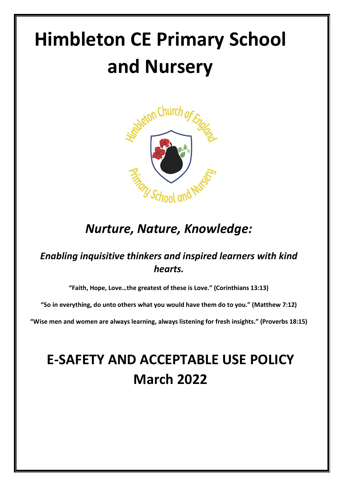# **Himbleton CE Primary School and Nursery**



# *Nurture, Nature, Knowledge:*

# *Enabling inquisitive thinkers and inspired learners with kind hearts.*

**"Faith, Hope, Love…the greatest of these is Love." (Corinthians 13:13)**

**"So in everything, do unto others what you would have them do to you." (Matthew 7:12)**

**"Wise men and women are always learning, always listening for fresh insights." (Proverbs 18:15)**

# **E-SAFETY AND ACCEPTABLE USE POLICY March 2022**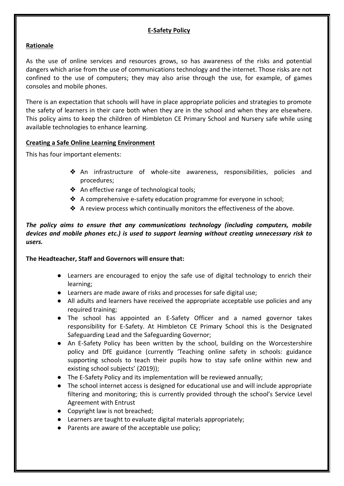#### **E-Safety Policy**

#### **Rationale**

As the use of online services and resources grows, so has awareness of the risks and potential dangers which arise from the use of communications technology and the internet. Those risks are not confined to the use of computers; they may also arise through the use, for example, of games consoles and mobile phones.

There is an expectation that schools will have in place appropriate policies and strategies to promote the safety of learners in their care both when they are in the school and when they are elsewhere. This policy aims to keep the children of Himbleton CE Primary School and Nursery safe while using available technologies to enhance learning.

#### **Creating a Safe Online Learning Environment**

This has four important elements:

- ❖ An infrastructure of whole-site awareness, responsibilities, policies and procedures;
- ❖ An effective range of technological tools;
- ❖ A comprehensive e-safety education programme for everyone in school;
- ❖ A review process which continually monitors the effectiveness of the above.

#### *The policy aims to ensure that any communications technology (including computers, mobile devices and mobile phones etc.) is used to support learning without creating unnecessary risk to users.*

#### **The Headteacher, Staff and Governors will ensure that:**

- Learners are encouraged to enjoy the safe use of digital technology to enrich their learning;
- Learners are made aware of risks and processes for safe digital use;
- All adults and learners have received the appropriate acceptable use policies and any required training;
- The school has appointed an E-Safety Officer and a named governor takes responsibility for E-Safety. At Himbleton CE Primary School this is the Designated Safeguarding Lead and the Safeguarding Governor;
- An E-Safety Policy has been written by the school, building on the Worcestershire policy and DfE guidance (currently 'Teaching online safety in schools: guidance supporting schools to teach their pupils how to stay safe online within new and existing school subjects' (2019));
- The E-Safety Policy and its implementation will be reviewed annually;
- The school internet access is designed for educational use and will include appropriate filtering and monitoring; this is currently provided through the school's Service Level Agreement with Entrust
- Copyright law is not breached;
- Learners are taught to evaluate digital materials appropriately;
- Parents are aware of the acceptable use policy;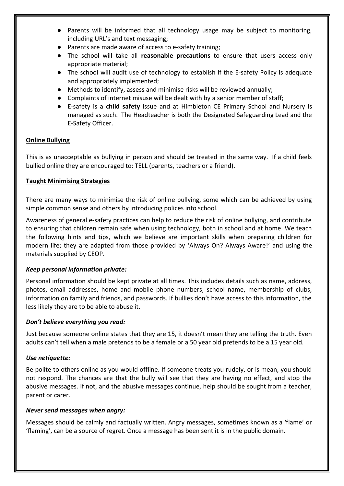- Parents will be informed that all technology usage may be subject to monitoring, including URL's and text messaging;
- Parents are made aware of access to e-safety training;
- The school will take all **reasonable precautions** to ensure that users access only appropriate material;
- The school will audit use of technology to establish if the E-safety Policy is adequate and appropriately implemented;
- Methods to identify, assess and minimise risks will be reviewed annually;
- Complaints of internet misuse will be dealt with by a senior member of staff;
- E-safety is a **child safety** issue and at Himbleton CE Primary School and Nursery is managed as such. The Headteacher is both the Designated Safeguarding Lead and the E-Safety Officer.

#### **Online Bullying**

This is as unacceptable as bullying in person and should be treated in the same way. If a child feels bullied online they are encouraged to: TELL (parents, teachers or a friend).

#### **Taught Minimising Strategies**

There are many ways to minimise the risk of online bullying, some which can be achieved by using simple common sense and others by introducing polices into school.

Awareness of general e-safety practices can help to reduce the risk of online bullying, and contribute to ensuring that children remain safe when using technology, both in school and at home. We teach the following hints and tips, which we believe are important skills when preparing children for modern life; they are adapted from those provided by 'Always On? Always Aware!' and using the materials supplied by CEOP.

#### *Keep personal information private:*

Personal information should be kept private at all times. This includes details such as name, address, photos, email addresses, home and mobile phone numbers, school name, membership of clubs, information on family and friends, and passwords. If bullies don't have access to this information, the less likely they are to be able to abuse it.

#### *Don't believe everything you read:*

Just because someone online states that they are 15, it doesn't mean they are telling the truth. Even adults can't tell when a male pretends to be a female or a 50 year old pretends to be a 15 year old.

#### *Use netiquette:*

Be polite to others online as you would offline. If someone treats you rudely, or is mean, you should not respond. The chances are that the bully will see that they are having no effect, and stop the abusive messages. If not, and the abusive messages continue, help should be sought from a teacher, parent or carer.

#### *Never send messages when angry:*

Messages should be calmly and factually written. Angry messages, sometimes known as a 'flame' or 'flaming', can be a source of regret. Once a message has been sent it is in the public domain.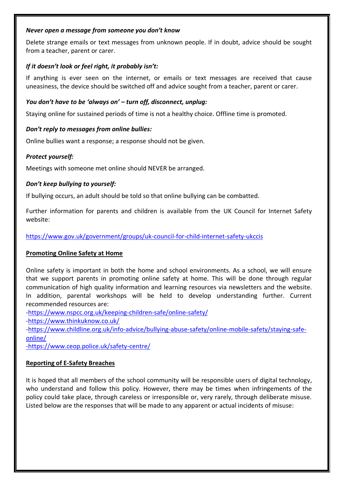#### *Never open a message from someone you don't know*

Delete strange emails or text messages from unknown people. If in doubt, advice should be sought from a teacher, parent or carer.

#### *If it doesn't look or feel right, it probably isn't:*

If anything is ever seen on the internet, or emails or text messages are received that cause uneasiness, the device should be switched off and advice sought from a teacher, parent or carer.

#### *You don't have to be 'always on' – turn off, disconnect, unplug:*

Staying online for sustained periods of time is not a healthy choice. Offline time is promoted.

#### *Don't reply to messages from online bullies:*

Online bullies want a response; a response should not be given.

#### *Protect yourself:*

Meetings with someone met online should NEVER be arranged.

#### *Don't keep bullying to yourself:*

If bullying occurs, an adult should be told so that online bullying can be combatted.

Further information for parents and children is available from the UK Council for Internet Safety website:

<https://www.gov.uk/government/groups/uk-council-for-child-internet-safety-ukccis>

#### **Promoting Online Safety at Home**

Online safety is important in both the home and school environments. As a school, we will ensure that we support parents in promoting online safety at home. This will be done through regular communication of high quality information and learning resources via newsletters and the website. In addition, parental workshops will be held to develop understanding further. Current recommended resources are:

[-https://www.nspcc.org.uk/keeping-children-safe/online-safety/](https://www.nspcc.org.uk/keeping-children-safe/online-safety/)

[-https://www.thinkuknow.co.uk/](https://www.thinkuknow.co.uk/)

[-https://www.childline.org.uk/info-advice/bullying-abuse-safety/online-mobile-safety/staying-safe](https://www.childline.org.uk/info-advice/bullying-abuse-safety/online-mobile-safety/staying-safe-online/)[online/](https://www.childline.org.uk/info-advice/bullying-abuse-safety/online-mobile-safety/staying-safe-online/)

[-https://www.ceop.police.uk/safety-centre/](https://www.ceop.police.uk/safety-centre/)

#### **Reporting of E-Safety Breaches**

It is hoped that all members of the school community will be responsible users of digital technology, who understand and follow this policy. However, there may be times when infringements of the policy could take place, through careless or irresponsible or, very rarely, through deliberate misuse. Listed below are the responses that will be made to any apparent or actual incidents of misuse: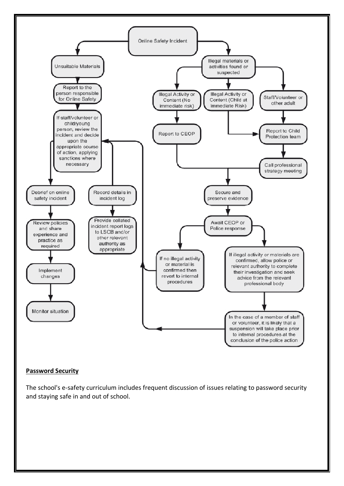

#### **Password Security**

The school's e-safety curriculum includes frequent discussion of issues relating to password security and staying safe in and out of school.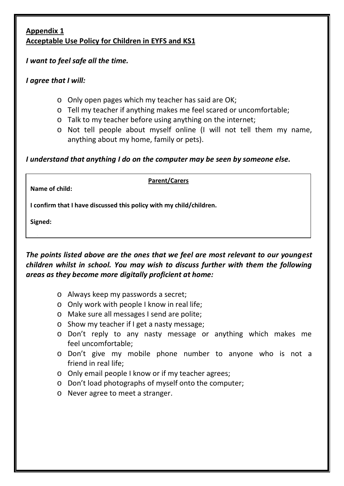### **Appendix 1 Acceptable Use Policy for Children in EYFS and KS1**

# *I want to feel safe all the time.*

# *I agree that I will:*

- o Only open pages which my teacher has said are OK;
- o Tell my teacher if anything makes me feel scared or uncomfortable;
- o Talk to my teacher before using anything on the internet;
- o Not tell people about myself online (I will not tell them my name, anything about my home, family or pets).

# *I understand that anything I do on the computer may be seen by someone else.*

**Name of child:**

#### **Parent/Carers**

**I confirm that I have discussed this policy with my child/children.**

**Signed:**

**Print:**

The points listed above are the ones that we feel are most relevant to our youngest *children whilst in school. You may wish to discuss further with them the following areas as they become more digitally proficient at home:* 

- o Always keep my passwords a secret;
- o Only work with people I know in real life;
- o Make sure all messages I send are polite;
- o Show my teacher if I get a nasty message;
- o Don't reply to any nasty message or anything which makes me feel uncomfortable;
- o Don't give my mobile phone number to anyone who is not a friend in real life;
- o Only email people I know or if my teacher agrees;
- o Don't load photographs of myself onto the computer;
- o Never agree to meet a stranger.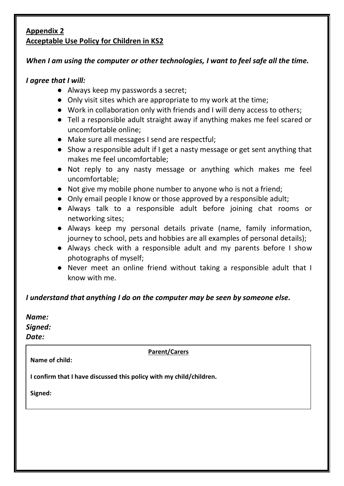### **Appendix 2 Acceptable Use Policy for Children in KS2**

# *When I am using the computer or other technologies, I want to feel safe all the time.*

## *I agree that I will:*

- Always keep my passwords a secret;
- Only visit sites which are appropriate to my work at the time;
- Work in collaboration only with friends and I will deny access to others;
- Tell a responsible adult straight away if anything makes me feel scared or uncomfortable online;
- Make sure all messages I send are respectful;
- Show a responsible adult if I get a nasty message or get sent anything that makes me feel uncomfortable;
- Not reply to any nasty message or anything which makes me feel uncomfortable;
- Not give my mobile phone number to anyone who is not a friend;
- Only email people I know or those approved by a responsible adult;
- Always talk to a responsible adult before joining chat rooms or networking sites;
- Always keep my personal details private (name, family information, journey to school, pets and hobbies are all examples of personal details);
- Always check with a responsible adult and my parents before I show photographs of myself;
- Never meet an online friend without taking a responsible adult that I know with me.

# *I understand that anything I do on the computer may be seen by someone else.*

| Name:   |  |  |
|---------|--|--|
| Signed: |  |  |
| Date:   |  |  |
|         |  |  |

**Parent/Carers**

**I confirm that I have discussed this policy with my child/children.**

**Signed:**

**Print:**

**Name of child:**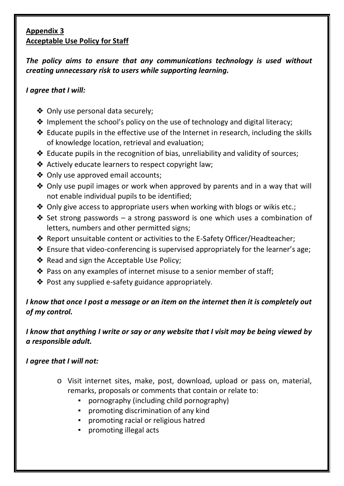# **Appendix 3 Acceptable Use Policy for Staff**

*The policy aims to ensure that any communications technology is used without creating unnecessary risk to users while supporting learning.*

# *I agree that I will:*

- ❖ Only use personal data securely;
- ❖ Implement the school's policy on the use of technology and digital literacy;
- ❖ Educate pupils in the effective use of the Internet in research, including the skills of knowledge location, retrieval and evaluation;
- ❖ Educate pupils in the recognition of bias, unreliability and validity of sources;
- ❖ Actively educate learners to respect copyright law;
- ❖ Only use approved email accounts;
- ❖ Only use pupil images or work when approved by parents and in a way that will not enable individual pupils to be identified;
- ❖ Only give access to appropriate users when working with blogs or wikis etc.;
- ❖ Set strong passwords a strong password is one which uses a combination of letters, numbers and other permitted signs;
- ❖ Report unsuitable content or activities to the E-Safety Officer/Headteacher;
- ❖ Ensure that video-conferencing is supervised appropriately for the learner's age;
- ❖ Read and sign the Acceptable Use Policy;
- ❖ Pass on any examples of internet misuse to a senior member of staff;
- ❖ Post any supplied e-safety guidance appropriately.

# *I know that once I post a message or an item on the internet then it is completely out of my control.*

# *I know that anything I write or say or any website that I visit may be being viewed by a responsible adult.*

# *I agree that I will not:*

- o Visit internet sites, make, post, download, upload or pass on, material, remarks, proposals or comments that contain or relate to:
	- pornography (including child pornography)
	- promoting discrimination of any kind
	- promoting racial or religious hatred
	- promoting illegal acts